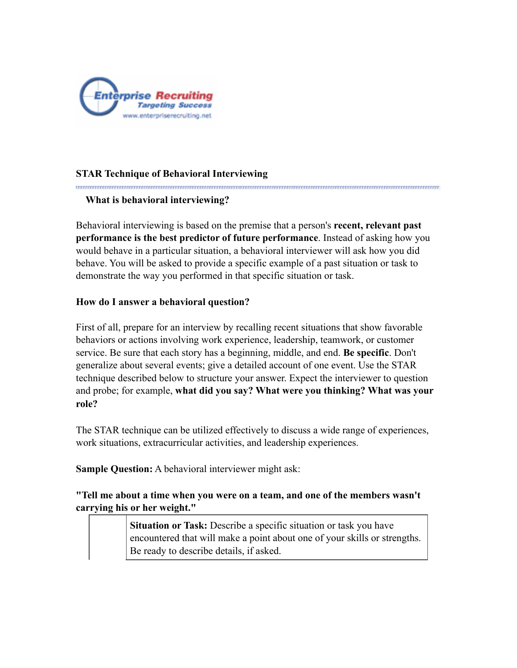

## **STAR Technique of Behavioral Interviewing**

## **What is behavioral interviewing?**

Behavioral interviewing is based on the premise that a person's **recent, relevant past performance is the best predictor of future performance**. Instead of asking how you would behave in a particular situation, a behavioral interviewer will ask how you did behave. You will be asked to provide a specific example of a past situation or task to demonstrate the way you performed in that specific situation or task.

## **How do I answer a behavioral question?**

First of all, prepare for an interview by recalling recent situations that show favorable behaviors or actions involving work experience, leadership, teamwork, or customer service. Be sure that each story has a beginning, middle, and end. **Be specific**. Don't generalize about several events; give a detailed account of one event. Use the STAR technique described below to structure your answer. Expect the interviewer to question and probe; for example, **what did you say? What were you thinking? What was your role?**

The STAR technique can be utilized effectively to discuss a wide range of experiences, work situations, extracurricular activities, and leadership experiences.

**Sample Question:** A behavioral interviewer might ask:

**"Tell me about a time when you were on a team, and one of the members wasn't carrying his or her weight."**

> **Situation or Task:** Describe a specific situation or task you have encountered that will make a point about one of your skills or strengths. Be ready to describe details, if asked.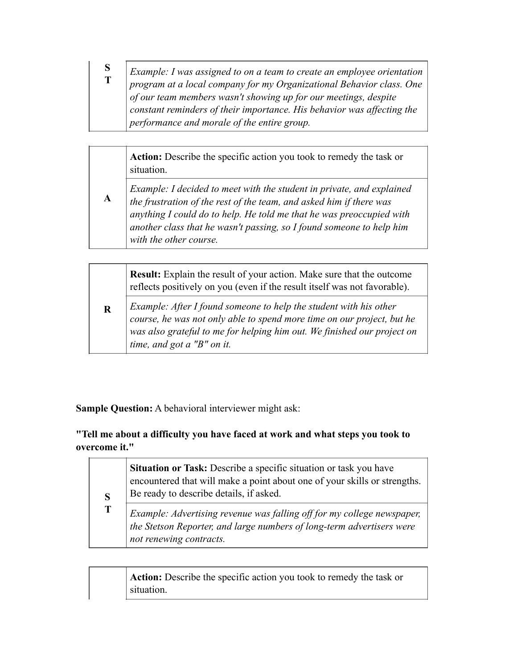| S | Example: I was assigned to on a team to create an employee orientation |
|---|------------------------------------------------------------------------|
|   | program at a local company for my Organizational Behavior class. One   |
|   | of our team members wasn't showing up for our meetings, despite        |
|   | constant reminders of their importance. His behavior was affecting the |
|   | performance and morale of the entire group.                            |

**Action:** Describe the specific action you took to remedy the task or situation.

*Example: I decided to meet with the student in private, and explained the frustration of the rest of the team, and asked him if there was anything I could do to help. He told me that he was preoccupied with another class that he wasn't passing, so I found someone to help him with the other course.*

**R Result:** Explain the result of your action. Make sure that the outcome reflects positively on you (even if the result itself was not favorable). *Example: After I found someone to help the student with his other course, he was not only able to spend more time on our project, but he was also grateful to me for helping him out. We finished our project on time, and got a "B" on it.*

**Sample Question:** A behavioral interviewer might ask:

**A**

**"Tell me about a difficulty you have faced at work and what steps you took to overcome it."**

| S | Situation or Task: Describe a specific situation or task you have<br>encountered that will make a point about one of your skills or strengths.<br>Be ready to describe details, if asked. |
|---|-------------------------------------------------------------------------------------------------------------------------------------------------------------------------------------------|
| T | Example: Advertising revenue was falling off for my college newspaper,<br>the Stetson Reporter, and large numbers of long-term advertisers were<br>not renewing contracts.                |

**Action:** Describe the specific action you took to remedy the task or situation.